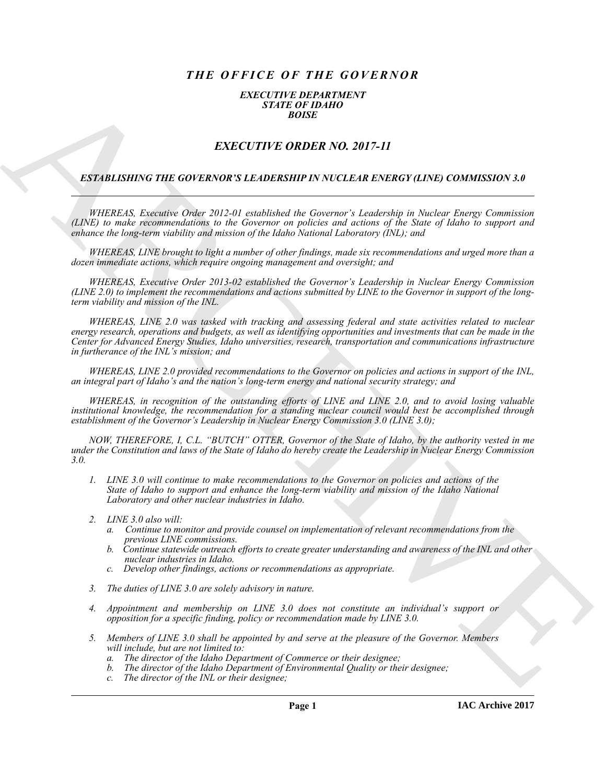# *THE OFFICE OF THE GOVERNOR*

#### *EXECUTIVE DEPARTMENT STATE OF IDAHO BOISE*

## *EXECUTIVE ORDER NO. 2017-11*

#### *ESTABLISHING THE GOVERNOR'S LEADERSHIP IN NUCLEAR ENERGY (LINE) COMMISSION 3.0*

*WHEREAS, Executive Order 2012-01 established the Governor's Leadership in Nuclear Energy Commission (LINE) to make recommendations to the Governor on policies and actions of the State of Idaho to support and enhance the long-term viability and mission of the Idaho National Laboratory (INL); and*

*WHEREAS, LINE brought to light a number of other findings, made six recommendations and urged more than a dozen immediate actions, which require ongoing management and oversight; and*

*WHEREAS, Executive Order 2013-02 established the Governor's Leadership in Nuclear Energy Commission (LINE 2.0) to implement the recommendations and actions submitted by LINE to the Governor in support of the longterm viability and mission of the INL.*

**EXECUTIVE ORDER NO. 2017-11**<br> **EXECUTIVE ORDER NO. 2017-11**<br> **EXECUTIVE ORDER NO. 2017-11**<br> **EXECUTIVE ORDER NO. 2017-11**<br> **EXECUTIVE ORDER NO. 2017-11**<br> **EXECUTIVE ORDER NO. 2017-11**<br>
APPROXIMENT ORDER NO. 2017-11<br>
APPR *WHEREAS, LINE 2.0 was tasked with tracking and assessing federal and state activities related to nuclear energy research, operations and budgets, as well as identifying opportunities and investments that can be made in the Center for Advanced Energy Studies, Idaho universities, research, transportation and communications infrastructure in furtherance of the INL's mission; and*

*WHEREAS, LINE 2.0 provided recommendations to the Governor on policies and actions in support of the INL, an integral part of Idaho's and the nation's long-term energy and national security strategy; and*

*WHEREAS, in recognition of the outstanding efforts of LINE and LINE 2.0, and to avoid losing valuable institutional knowledge, the recommendation for a standing nuclear council would best be accomplished through establishment of the Governor's Leadership in Nuclear Energy Commission 3.0 (LINE 3.0);*

*NOW, THEREFORE, I, C.L. "BUTCH" OTTER, Governor of the State of Idaho, by the authority vested in me under the Constitution and laws of the State of Idaho do hereby create the Leadership in Nuclear Energy Commission 3.0.*

- *1. LINE 3.0 will continue to make recommendations to the Governor on policies and actions of the State of Idaho to support and enhance the long-term viability and mission of the Idaho National Laboratory and other nuclear industries in Idaho.*
- *2. LINE 3.0 also will:*
	- *a. Continue to monitor and provide counsel on implementation of relevant recommendations from the previous LINE commissions.*
	- *b. Continue statewide outreach efforts to create greater understanding and awareness of the INL and other nuclear industries in Idaho.*
	- *c. Develop other findings, actions or recommendations as appropriate.*
- *3. The duties of LINE 3.0 are solely advisory in nature.*
- *4. Appointment and membership on LINE 3.0 does not constitute an individual's support or opposition for a specific finding, policy or recommendation made by LINE 3.0.*
- *5. Members of LINE 3.0 shall be appointed by and serve at the pleasure of the Governor. Members will include, but are not limited to:*
	- *a. The director of the Idaho Department of Commerce or their designee;*
	- *b. The director of the Idaho Department of Environmental Quality or their designee;*
	- *c. The director of the INL or their designee;*